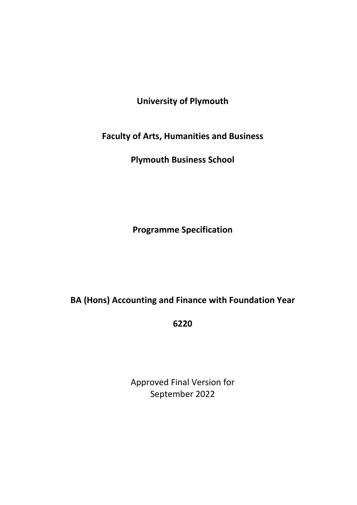# **University of Plymouth**

**Faculty of Arts, Humanities and Business**

**Plymouth Business School**

**Programme Specification**

**BA (Hons) Accounting and Finance with Foundation Year**

**6220**

Approved Final Version for September 2022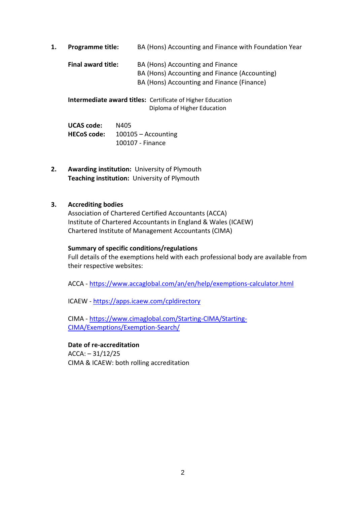**1. Programme title:** BA (Hons) Accounting and Finance with Foundation Year **Final award title:** BA (Hons) Accounting and Finance BA (Hons) Accounting and Finance (Accounting) BA (Hons) Accounting and Finance (Finance)

**Intermediate award titles:** Certificate of Higher Education Diploma of Higher Education

**UCAS code:** N405 **HECoS code:** 100105 – Accounting 100107 - Finance

**2. Awarding institution:** University of Plymouth **Teaching institution:** University of Plymouth

## **3. Accrediting bodies**

Association of Chartered Certified Accountants (ACCA) Institute of Chartered Accountants in England & Wales (ICAEW) Chartered Institute of Management Accountants (CIMA)

#### **Summary of specific conditions/regulations**

Full details of the exemptions held with each professional body are available from their respective websites:

ACCA - <https://www.accaglobal.com/an/en/help/exemptions-calculator.html>

ICAEW - <https://apps.icaew.com/cpldirectory>

CIMA - [https://www.cimaglobal.com/Starting-CIMA/Starting-](https://www.cimaglobal.com/Starting-CIMA/Starting-CIMA/Exemptions/Exemption-Search/)[CIMA/Exemptions/Exemption-Search/](https://www.cimaglobal.com/Starting-CIMA/Starting-CIMA/Exemptions/Exemption-Search/)

#### **Date of re-accreditation**

 $ACCA: -31/12/25$ CIMA & ICAEW: both rolling accreditation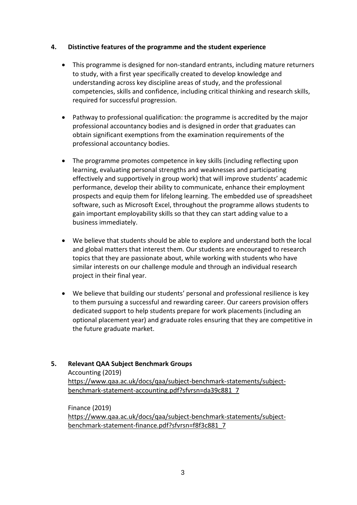### **4. Distinctive features of the programme and the student experience**

- This programme is designed for non-standard entrants, including mature returners to study, with a first year specifically created to develop knowledge and understanding across key discipline areas of study, and the professional competencies, skills and confidence, including critical thinking and research skills, required for successful progression.
- Pathway to professional qualification: the programme is accredited by the major professional accountancy bodies and is designed in order that graduates can obtain significant exemptions from the examination requirements of the professional accountancy bodies.
- The programme promotes competence in key skills (including reflecting upon learning, evaluating personal strengths and weaknesses and participating effectively and supportively in group work) that will improve students' academic performance, develop their ability to communicate, enhance their employment prospects and equip them for lifelong learning. The embedded use of spreadsheet software, such as Microsoft Excel, throughout the programme allows students to gain important employability skills so that they can start adding value to a business immediately.
- We believe that students should be able to explore and understand both the local and global matters that interest them. Our students are encouraged to research topics that they are passionate about, while working with students who have similar interests on our challenge module and through an individual research project in their final year.
- We believe that building our students' personal and professional resilience is key to them pursuing a successful and rewarding career. Our careers provision offers dedicated support to help students prepare for work placements (including an optional placement year) and graduate roles ensuring that they are competitive in the future graduate market.

## **5. Relevant QAA Subject Benchmark Groups**

Accounting (2019) [https://www.qaa.ac.uk/docs/qaa/subject-benchmark-statements/subject](https://www.qaa.ac.uk/docs/qaa/subject-benchmark-statements/subject-benchmark-statement-accounting.pdf?sfvrsn=da39c881_7)[benchmark-statement-accounting.pdf?sfvrsn=da39c881\\_7](https://www.qaa.ac.uk/docs/qaa/subject-benchmark-statements/subject-benchmark-statement-accounting.pdf?sfvrsn=da39c881_7)

Finance (2019) [https://www.qaa.ac.uk/docs/qaa/subject-benchmark-statements/subject](https://www.qaa.ac.uk/docs/qaa/subject-benchmark-statements/subject-benchmark-statement-finance.pdf?sfvrsn=f8f3c881_7)[benchmark-statement-finance.pdf?sfvrsn=f8f3c881\\_7](https://www.qaa.ac.uk/docs/qaa/subject-benchmark-statements/subject-benchmark-statement-finance.pdf?sfvrsn=f8f3c881_7)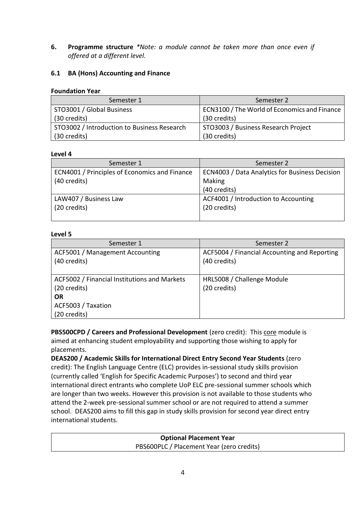**6. Programme structure** *\*Note: a module cannot be taken more than once even if offered at a different level.* 

## **6.1 BA (Hons) Accounting and Finance**

#### **Foundation Year**

| Semester 1                                  | Semester 2                                   |
|---------------------------------------------|----------------------------------------------|
| STO3001 / Global Business                   | ECN3100 / The World of Economics and Finance |
| (30 credits)                                | (30 credits)                                 |
| STO3002 / Introduction to Business Research | STO3003 / Business Research Project          |
| (30 credits)                                | (30 credits)                                 |

### **Level 4**

| Semester 1                                    | Semester 2                                     |
|-----------------------------------------------|------------------------------------------------|
| ECN4001 / Principles of Economics and Finance | ECN4003 / Data Analytics for Business Decision |
| (40 credits)                                  | Making                                         |
|                                               | (40 credits)                                   |
| LAW407 / Business Law                         | ACF4001 / Introduction to Accounting           |
| (20 credits)                                  | (20 credits)                                   |
|                                               |                                                |

#### **Level 5**

| Semester 1                                   | Semester 2                                   |
|----------------------------------------------|----------------------------------------------|
| ACF5001 / Management Accounting              | ACF5004 / Financial Accounting and Reporting |
| (40 credits)                                 | (40 credits)                                 |
|                                              |                                              |
| ACF5002 / Financial Institutions and Markets | HRL5008 / Challenge Module                   |
| (20 credits)                                 | (20 credits)                                 |
| <b>OR</b>                                    |                                              |
| ACF5003 / Taxation                           |                                              |
| (20 credits)                                 |                                              |

**PBS500CPD / Careers and Professional Development** (zero credit): This core module is aimed at enhancing student employability and supporting those wishing to apply for placements.

**DEAS200 / Academic Skills for International Direct Entry Second Year Students** (zero credit): The English Language Centre (ELC) provides in-sessional study skills provision (currently called 'English for Specific Academic Purposes') to second and third year international direct entrants who complete UoP ELC pre-sessional summer schools which are longer than two weeks. However this provision is not available to those students who attend the 2-week pre-sessional summer school or are not required to attend a summer school. DEAS200 aims to fill this gap in study skills provision for second year direct entry international students.

> **Optional Placement Year** PBS600PLC / Placement Year (zero credits)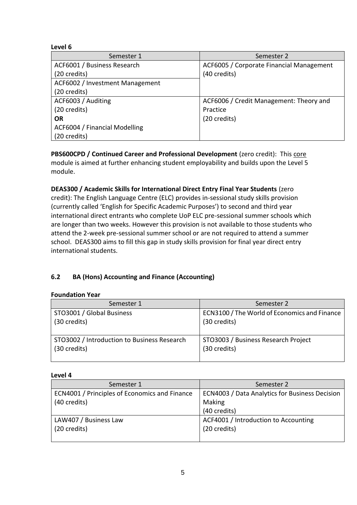### **Level 6**

| Semester 1                      | Semester 2                               |
|---------------------------------|------------------------------------------|
| ACF6001 / Business Research     | ACF6005 / Corporate Financial Management |
| (20 credits)                    | (40 credits)                             |
| ACF6002 / Investment Management |                                          |
| (20 credits)                    |                                          |
| ACF6003 / Auditing              | ACF6006 / Credit Management: Theory and  |
| (20 credits)                    | Practice                                 |
| <b>OR</b>                       | (20 credits)                             |
| ACF6004 / Financial Modelling   |                                          |
| (20 credits)                    |                                          |

**PBS600CPD / Continued Career and Professional Development** (zero credit): This core module is aimed at further enhancing student employability and builds upon the Level 5 module.

## **DEAS300 / Academic Skills for International Direct Entry Final Year Students** (zero credit): The English Language Centre (ELC) provides in-sessional study skills provision

(currently called 'English for Specific Academic Purposes') to second and third year international direct entrants who complete UoP ELC pre-sessional summer schools which are longer than two weeks. However this provision is not available to those students who attend the 2-week pre-sessional summer school or are not required to attend a summer school. DEAS300 aims to fill this gap in study skills provision for final year direct entry international students.

## **6.2 BA (Hons) Accounting and Finance (Accounting)**

## **Foundation Year**

| Semester 1                                  | Semester 2                                   |
|---------------------------------------------|----------------------------------------------|
| STO3001 / Global Business                   | ECN3100 / The World of Economics and Finance |
| (30 credits)                                | (30 credits)                                 |
| STO3002 / Introduction to Business Research | STO3003 / Business Research Project          |
| (30 credits)                                | (30 credits)                                 |

## **Level 4**

| Semester 1                                    | Semester 2                                     |
|-----------------------------------------------|------------------------------------------------|
| ECN4001 / Principles of Economics and Finance | ECN4003 / Data Analytics for Business Decision |
| (40 credits)                                  | Making                                         |
|                                               | (40 credits)                                   |
| LAW407 / Business Law                         | ACF4001 / Introduction to Accounting           |
| (20 credits)                                  | (20 credits)                                   |
|                                               |                                                |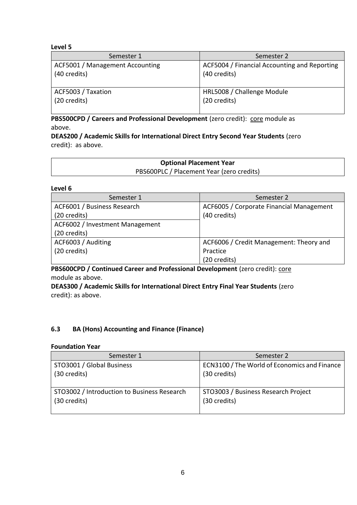#### **Level 5**

| Semester 1                      | Semester 2                                   |
|---------------------------------|----------------------------------------------|
| ACF5001 / Management Accounting | ACF5004 / Financial Accounting and Reporting |
| (40 credits)                    | (40 credits)                                 |
| ACF5003 / Taxation              | HRL5008 / Challenge Module                   |
| (20 credits)                    | (20 credits)                                 |

**PBS500CPD / Careers and Professional Development** (zero credit): core module as above.

**DEAS200 / Academic Skills for International Direct Entry Second Year Students** (zero credit): as above.

| <b>Optional Placement Year</b>            |  |
|-------------------------------------------|--|
| PBS600PLC / Placement Year (zero credits) |  |

#### **Level 6**

| Semester 1                      | Semester 2                               |
|---------------------------------|------------------------------------------|
| ACF6001 / Business Research     | ACF6005 / Corporate Financial Management |
| (20 credits)                    | (40 credits)                             |
| ACF6002 / Investment Management |                                          |
| (20 credits)                    |                                          |
| ACF6003 / Auditing              | ACF6006 / Credit Management: Theory and  |
| (20 credits)                    | Practice                                 |
|                                 | (20 credits)                             |

**PBS600CPD / Continued Career and Professional Development** (zero credit): core module as above.

**DEAS300 / Academic Skills for International Direct Entry Final Year Students** (zero credit): as above.

## **6.3 BA (Hons) Accounting and Finance (Finance)**

#### **Foundation Year**

| Semester 1                                  | Semester 2                                   |
|---------------------------------------------|----------------------------------------------|
| STO3001 / Global Business                   | ECN3100 / The World of Economics and Finance |
| (30 credits)                                | (30 credits)                                 |
| STO3002 / Introduction to Business Research | STO3003 / Business Research Project          |
| (30 credits)                                | (30 credits)                                 |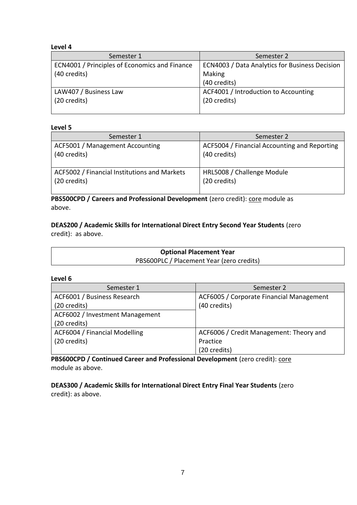#### **Level 4**

| Semester 1                                    | Semester 2                                     |
|-----------------------------------------------|------------------------------------------------|
| ECN4001 / Principles of Economics and Finance | ECN4003 / Data Analytics for Business Decision |
| (40 credits)                                  | Making                                         |
|                                               | (40 credits)                                   |
| LAW407 / Business Law                         | ACF4001 / Introduction to Accounting           |
| (20 credits)                                  | (20 credits)                                   |
|                                               |                                                |

#### **Level 5**

| Semester 1                                   | Semester 2                                   |
|----------------------------------------------|----------------------------------------------|
| ACF5001 / Management Accounting              | ACF5004 / Financial Accounting and Reporting |
| (40 credits)                                 | (40 credits)                                 |
| ACF5002 / Financial Institutions and Markets | HRL5008 / Challenge Module                   |
| (20 credits)                                 | (20 credits)                                 |

**PBS500CPD / Careers and Professional Development** (zero credit): **core** module as above.

**DEAS200 / Academic Skills for International Direct Entry Second Year Students** (zero credit): as above.

| <b>Optional Placement Year</b>            |  |
|-------------------------------------------|--|
| PBS600PLC / Placement Year (zero credits) |  |

#### **Level 6**

| Semester 1                      | Semester 2                               |  |  |  |  |  |  |  |
|---------------------------------|------------------------------------------|--|--|--|--|--|--|--|
| ACF6001 / Business Research     | ACF6005 / Corporate Financial Management |  |  |  |  |  |  |  |
| (20 credits)                    | (40 credits)                             |  |  |  |  |  |  |  |
| ACF6002 / Investment Management |                                          |  |  |  |  |  |  |  |
| (20 credits)                    |                                          |  |  |  |  |  |  |  |
| ACF6004 / Financial Modelling   | ACF6006 / Credit Management: Theory and  |  |  |  |  |  |  |  |
| (20 credits)                    | Practice                                 |  |  |  |  |  |  |  |
|                                 | (20 credits)                             |  |  |  |  |  |  |  |

**PBS600CPD / Continued Career and Professional Development** (zero credit): core module as above.

**DEAS300 / Academic Skills for International Direct Entry Final Year Students** (zero credit): as above.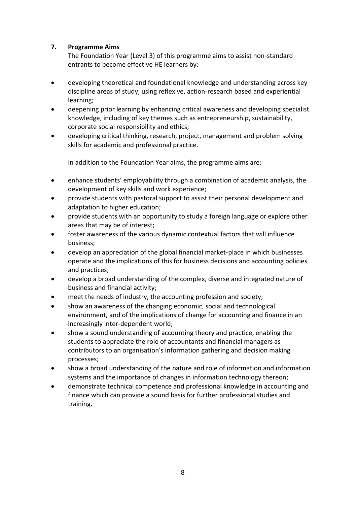## **7. Programme Aims**

The Foundation Year (Level 3) of this programme aims to assist non-standard entrants to become effective HE learners by:

- developing theoretical and foundational knowledge and understanding across key discipline areas of study, using reflexive, action-research based and experiential learning;
- deepening prior learning by enhancing critical awareness and developing specialist knowledge, including of key themes such as entrepreneurship, sustainability, corporate social responsibility and ethics;
- developing critical thinking, research, project, management and problem solving skills for academic and professional practice.

In addition to the Foundation Year aims, the programme aims are:

- enhance students' employability through a combination of academic analysis, the development of key skills and work experience;
- provide students with pastoral support to assist their personal development and adaptation to higher education;
- provide students with an opportunity to study a foreign language or explore other areas that may be of interest;
- foster awareness of the various dynamic contextual factors that will influence business;
- develop an appreciation of the global financial market-place in which businesses operate and the implications of this for business decisions and accounting policies and practices;
- develop a broad understanding of the complex, diverse and integrated nature of business and financial activity;
- meet the needs of industry, the accounting profession and society;
- show an awareness of the changing economic, social and technological environment, and of the implications of change for accounting and finance in an increasingly inter-dependent world;
- show a sound understanding of accounting theory and practice, enabling the students to appreciate the role of accountants and financial managers as contributors to an organisation's information gathering and decision making processes;
- show a broad understanding of the nature and role of information and information systems and the importance of changes in information technology thereon;
- demonstrate technical competence and professional knowledge in accounting and finance which can provide a sound basis for further professional studies and training.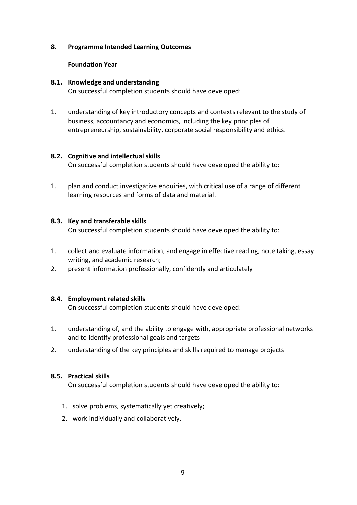#### **8. Programme Intended Learning Outcomes**

#### **Foundation Year**

#### **8.1. Knowledge and understanding**

On successful completion students should have developed:

1. understanding of key introductory concepts and contexts relevant to the study of business, accountancy and economics, including the key principles of entrepreneurship, sustainability, corporate social responsibility and ethics.

## **8.2. Cognitive and intellectual skills**

On successful completion students should have developed the ability to:

1. plan and conduct investigative enquiries, with critical use of a range of different learning resources and forms of data and material.

### **8.3. Key and transferable skills**

On successful completion students should have developed the ability to:

- 1. collect and evaluate information, and engage in effective reading, note taking, essay writing, and academic research;
- 2. present information professionally, confidently and articulately

## **8.4. Employment related skills**

On successful completion students should have developed:

- 1. understanding of, and the ability to engage with, appropriate professional networks and to identify professional goals and targets
- 2. understanding of the key principles and skills required to manage projects

## **8.5. Practical skills**

On successful completion students should have developed the ability to:

- 1. solve problems, systematically yet creatively;
- 2. work individually and collaboratively.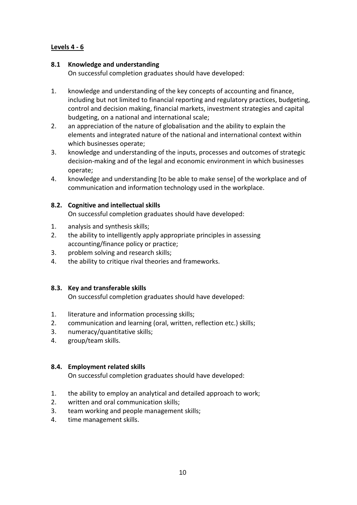## **Levels 4 - 6**

## **8.1 Knowledge and understanding**

On successful completion graduates should have developed:

- 1. knowledge and understanding of the key concepts of accounting and finance, including but not limited to financial reporting and regulatory practices, budgeting, control and decision making, financial markets, investment strategies and capital budgeting, on a national and international scale;
- 2. an appreciation of the nature of globalisation and the ability to explain the elements and integrated nature of the national and international context within which businesses operate;
- 3. knowledge and understanding of the inputs, processes and outcomes of strategic decision-making and of the legal and economic environment in which businesses operate;
- 4. knowledge and understanding [to be able to make sense] of the workplace and of communication and information technology used in the workplace.

### **8.2. Cognitive and intellectual skills**

On successful completion graduates should have developed:

- 1. analysis and synthesis skills;
- 2. the ability to intelligently apply appropriate principles in assessing accounting/finance policy or practice;
- 3. problem solving and research skills;
- 4. the ability to critique rival theories and frameworks.

#### **8.3. Key and transferable skills**

On successful completion graduates should have developed:

- 1. literature and information processing skills;
- 2. communication and learning (oral, written, reflection etc.) skills;
- 3. numeracy/quantitative skills;
- 4. group/team skills.

## **8.4. Employment related skills**

On successful completion graduates should have developed:

- 1. the ability to employ an analytical and detailed approach to work;
- 2. written and oral communication skills;
- 3. team working and people management skills;
- 4. time management skills.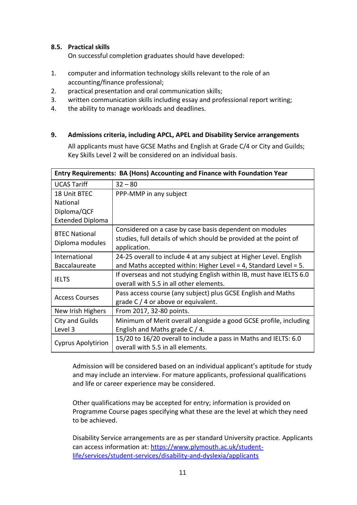## **8.5. Practical skills**

On successful completion graduates should have developed:

- 1. computer and information technology skills relevant to the role of an accounting/finance professional;
- 2. practical presentation and oral communication skills;
- 3. written communication skills including essay and professional report writing;
- 4. the ability to manage workloads and deadlines.

### **9. Admissions criteria, including APCL, APEL and Disability Service arrangements**

All applicants must have GCSE Maths and English at Grade C/4 or City and Guilds; Key Skills Level 2 will be considered on an individual basis.

| Entry Requirements: BA (Hons) Accounting and Finance with Foundation Year |                                                                                                                                              |  |  |  |  |  |  |  |  |  |
|---------------------------------------------------------------------------|----------------------------------------------------------------------------------------------------------------------------------------------|--|--|--|--|--|--|--|--|--|
| <b>UCAS Tariff</b>                                                        | $32 - 80$                                                                                                                                    |  |  |  |  |  |  |  |  |  |
| 18 Unit BTEC                                                              | PPP-MMP in any subject                                                                                                                       |  |  |  |  |  |  |  |  |  |
| National                                                                  |                                                                                                                                              |  |  |  |  |  |  |  |  |  |
| Diploma/QCF                                                               |                                                                                                                                              |  |  |  |  |  |  |  |  |  |
| <b>Extended Diploma</b>                                                   |                                                                                                                                              |  |  |  |  |  |  |  |  |  |
| <b>BTEC National</b><br>Diploma modules                                   | Considered on a case by case basis dependent on modules<br>studies, full details of which should be provided at the point of<br>application. |  |  |  |  |  |  |  |  |  |
| International                                                             | 24-25 overall to include 4 at any subject at Higher Level. English                                                                           |  |  |  |  |  |  |  |  |  |
| Baccalaureate                                                             | and Maths accepted within: Higher Level = 4, Standard Level = 5.                                                                             |  |  |  |  |  |  |  |  |  |
| <b>IELTS</b>                                                              | If overseas and not studying English within IB, must have IELTS 6.0<br>overall with 5.5 in all other elements.                               |  |  |  |  |  |  |  |  |  |
| <b>Access Courses</b>                                                     | Pass access course (any subject) plus GCSE English and Maths<br>grade $C/4$ or above or equivalent.                                          |  |  |  |  |  |  |  |  |  |
| New Irish Highers                                                         | From 2017, 32-80 points.                                                                                                                     |  |  |  |  |  |  |  |  |  |
| City and Guilds                                                           | Minimum of Merit overall alongside a good GCSE profile, including                                                                            |  |  |  |  |  |  |  |  |  |
| Level 3                                                                   | English and Maths grade $C/4$ .                                                                                                              |  |  |  |  |  |  |  |  |  |
|                                                                           | 15/20 to 16/20 overall to include a pass in Maths and IELTS: 6.0                                                                             |  |  |  |  |  |  |  |  |  |
| <b>Cyprus Apolytirion</b>                                                 | overall with 5.5 in all elements.                                                                                                            |  |  |  |  |  |  |  |  |  |

Admission will be considered based on an individual applicant's aptitude for study and may include an interview. For mature applicants, professional qualifications and life or career experience may be considered.

Other qualifications may be accepted for entry; information is provided on Programme Course pages specifying what these are the level at which they need to be achieved.

Disability Service arrangements are as per standard University practice. Applicants can access information at: [https://www.plymouth.ac.uk/student](https://www.plymouth.ac.uk/student-life/services/student-services/disability-and-dyslexia/applicants)[life/services/student-services/disability-and-dyslexia/applicants](https://www.plymouth.ac.uk/student-life/services/student-services/disability-and-dyslexia/applicants)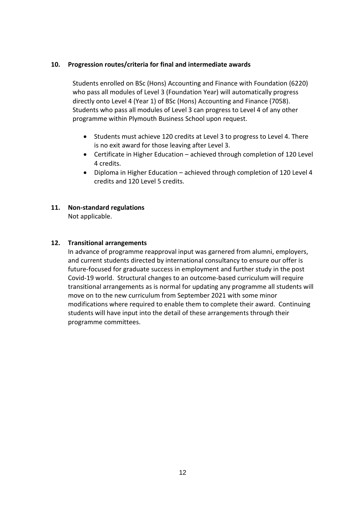### **10. Progression routes/criteria for final and intermediate awards**

Students enrolled on BSc (Hons) Accounting and Finance with Foundation (6220) who pass all modules of Level 3 (Foundation Year) will automatically progress directly onto Level 4 (Year 1) of BSc (Hons) Accounting and Finance (7058). Students who pass all modules of Level 3 can progress to Level 4 of any other programme within Plymouth Business School upon request.

- Students must achieve 120 credits at Level 3 to progress to Level 4. There is no exit award for those leaving after Level 3.
- Certificate in Higher Education achieved through completion of 120 Level 4 credits.
- Diploma in Higher Education achieved through completion of 120 Level 4 credits and 120 Level 5 credits.

# **11. Non-standard regulations**

Not applicable.

#### **12. Transitional arrangements**

In advance of programme reapproval input was garnered from alumni, employers, and current students directed by international consultancy to ensure our offer is future-focused for graduate success in employment and further study in the post Covid-19 world. Structural changes to an outcome-based curriculum will require transitional arrangements as is normal for updating any programme all students will move on to the new curriculum from September 2021 with some minor modifications where required to enable them to complete their award. Continuing students will have input into the detail of these arrangements through their programme committees.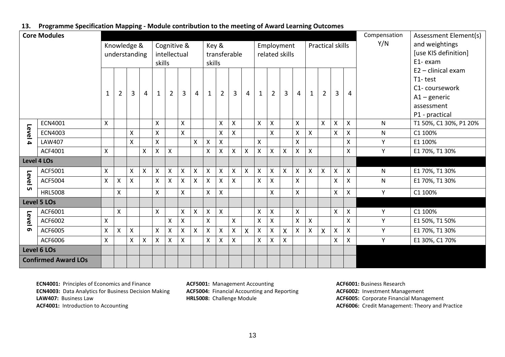#### **13. Programme Specification Mapping - Module contribution to the meeting of Award Learning Outcomes**

| <b>Core Modules</b>        |                |   |                |                    |                    |              |                |                    |                    |                           |                           |   |   |                    |                           | Compensation              | Assessment Element(s) |                    |                         |                           |                           |     |                        |
|----------------------------|----------------|---|----------------|--------------------|--------------------|--------------|----------------|--------------------|--------------------|---------------------------|---------------------------|---|---|--------------------|---------------------------|---------------------------|-----------------------|--------------------|-------------------------|---------------------------|---------------------------|-----|------------------------|
|                            |                |   |                | Knowledge &        |                    |              | Cognitive &    |                    |                    | Key &                     |                           |   |   |                    | Employment                |                           |                       |                    | <b>Practical skills</b> |                           |                           | Y/N | and weightings         |
|                            |                |   |                | understanding      |                    | intellectual |                |                    |                    | transferable              |                           |   |   |                    | related skills            |                           |                       |                    |                         |                           |                           |     | [use KIS definition]   |
|                            |                |   |                |                    |                    |              | skills         |                    |                    |                           | skills                    |   |   |                    |                           |                           |                       |                    |                         |                           |                           |     | E1-exam                |
|                            |                |   |                |                    |                    |              |                |                    |                    |                           |                           |   |   |                    |                           |                           |                       |                    |                         |                           |                           |     | $E2 -$ clinical exam   |
|                            |                |   |                |                    |                    |              |                |                    |                    |                           |                           |   |   |                    |                           |                           |                       |                    |                         |                           |                           |     | T1-test                |
|                            |                | 1 | $\overline{2}$ | $\overline{3}$     | $\overline{4}$     | $\mathbf{1}$ | $\overline{2}$ | $\overline{3}$     | 4                  | $\mathbf{1}$              | $\overline{2}$            | 3 | 4 | 1                  | $\overline{2}$            | $\overline{3}$            | $\overline{4}$        | $\mathbf{1}$       | $\overline{2}$          | $\overline{3}$            | 4                         |     | C1-coursework          |
|                            |                |   |                |                    |                    |              |                |                    |                    |                           |                           |   |   |                    |                           |                           |                       |                    |                         |                           |                           |     | $A1 -$ generic         |
|                            |                |   |                |                    |                    |              |                |                    |                    |                           |                           |   |   |                    |                           |                           |                       |                    |                         |                           |                           |     | assessment             |
|                            |                |   |                |                    |                    |              |                |                    |                    |                           |                           |   |   |                    |                           |                           |                       |                    |                         |                           |                           |     | P1 - practical         |
|                            | <b>ECN4001</b> | X |                |                    |                    | X            |                | X                  |                    |                           | $\boldsymbol{\mathsf{X}}$ | X |   | $\mathsf{X}$       | $\mathsf{X}$              |                           | $\mathsf{X}$          |                    | $\mathsf{x}$            | $\boldsymbol{\mathsf{X}}$ | $\mathsf{X}$              | N   | T1 50%, C1 30%, P1 20% |
| Level                      | <b>ECN4003</b> |   |                | $\pmb{\mathsf{X}}$ |                    | X            |                | $\mathsf{x}$       |                    |                           | $\pmb{\mathsf{X}}$        | Χ |   |                    | $\mathsf{X}$              |                           | X                     | $\pmb{\mathsf{X}}$ |                         | $\mathsf{X}$              | $\pmb{\mathsf{X}}$        | N   | C1 100%                |
| Δ.                         | LAW407         |   |                | X                  |                    | $\mathsf{X}$ |                |                    | X                  | $\boldsymbol{\mathsf{X}}$ | $\pmb{\times}$            |   |   | $\mathsf{X}$       |                           |                           | X                     |                    |                         |                           | Χ                         | Υ   | E1 100%                |
|                            | ACF4001        | X |                |                    | X                  | X            | $\mathsf{x}$   |                    |                    | X                         | $\boldsymbol{\mathsf{X}}$ | Χ | X | X                  | $\mathsf{X}$              | $\boldsymbol{\mathsf{X}}$ | X                     | $\mathsf{X}$       |                         |                           | $\boldsymbol{\mathsf{X}}$ | Y   | E1 70%, T1 30%         |
| <b>Level 4 LOs</b>         |                |   |                |                    |                    |              |                |                    |                    |                           |                           |   |   |                    |                           |                           |                       |                    |                         |                           |                           |     |                        |
|                            | ACF5001        | X |                | $\mathsf{X}$       | $\mathsf{X}$       | X            | $\mathsf{X}$   | $\pmb{\mathsf{X}}$ | $\pmb{\mathsf{X}}$ | $\pmb{\times}$            | $\pmb{\times}$            | X | X | $\mathsf{X}$       | $\pmb{\times}$            | $\mathsf{X}$              | X                     | $\mathsf{X}$       | X                       | $\pmb{\times}$            | $\pmb{\times}$            | N   | E1 70%, T1 30%         |
| Level                      | ACF5004        | X | X              | $\mathsf{X}$       |                    | X            | $\mathsf{X}$   | X                  | X                  | $\boldsymbol{\mathsf{X}}$ | $\boldsymbol{\mathsf{X}}$ | X |   | $\mathsf{x}$       | $\boldsymbol{\mathsf{X}}$ |                           | X                     |                    |                         | $\boldsymbol{\mathsf{X}}$ | Χ                         | N   | E1 70%, T1 30%         |
| <b>un</b>                  | <b>HRL5008</b> |   | X              |                    |                    | X            |                | X                  |                    | $\mathsf{X}$              | $\boldsymbol{\mathsf{X}}$ |   |   |                    | X                         |                           | X                     |                    |                         | $\boldsymbol{\mathsf{X}}$ | $\boldsymbol{\mathsf{X}}$ | Y   | C1 100%                |
|                            | Level 5 LOs    |   |                |                    |                    |              |                |                    |                    |                           |                           |   |   |                    |                           |                           |                       |                    |                         |                           |                           |     |                        |
|                            | ACF6001        |   | X              |                    |                    | X            |                | X                  | $\pmb{\mathsf{X}}$ | $\pmb{\mathsf{X}}$        | $\boldsymbol{\mathsf{X}}$ |   |   | $\pmb{\mathsf{X}}$ | $\pmb{\mathsf{X}}$        |                           | X                     |                    |                         | $\boldsymbol{\mathsf{X}}$ | $\pmb{\times}$            | Y   | C1 100%                |
| Level                      | ACF6002        | X |                |                    |                    |              | $\mathsf{X}$   | $\pmb{\times}$     |                    | $\pmb{\times}$            |                           | Χ |   | $\pmb{\mathsf{X}}$ | $\pmb{\mathsf{X}}$        |                           | $\pmb{\mathsf{X}}$    | $\pmb{\mathsf{X}}$ |                         |                           | $\mathsf{X}$              | Y   | E1 50%, T1 50%         |
| െ                          | ACF6005        | X | $\mathsf{X}$   | X                  |                    | X            | $\pmb{\times}$ | Χ                  | X                  | $\boldsymbol{\mathsf{X}}$ | $\boldsymbol{\mathsf{X}}$ | X | Χ | Χ                  | Χ                         | $\boldsymbol{\mathsf{X}}$ | X                     | $\mathsf{X}$       | X                       | X                         | X                         | Y   | E1 70%, T1 30%         |
|                            | ACF6006        | Χ |                | X                  | $\pmb{\mathsf{X}}$ | X            | X              | X                  |                    | $\mathsf{x}$              | $\mathsf{X}$              | Χ |   | $\mathsf{X}$       | $\boldsymbol{\mathsf{X}}$ | $\pmb{\mathsf{X}}$        |                       |                    |                         | X                         | X                         | Y   | E1 30%, C1 70%         |
|                            | Level 6 LOs    |   |                |                    |                    |              |                |                    |                    |                           |                           |   |   |                    |                           |                           |                       |                    |                         |                           |                           |     |                        |
| <b>Confirmed Award LOs</b> |                |   |                |                    |                    |              |                |                    |                    |                           |                           |   |   |                    |                           |                           |                       |                    |                         |                           |                           |     |                        |

**ECN4001:** Principles of Economics and Finance **ECN4003:** Data Analytics for Business Decision Making **LAW407:** Business Law

**ACF4001:** Introduction to Accounting

**ACF5001:** Management Accounting **ACF5004:** Financial Accounting and Reporting **HRL5008:** Challenge Module

**ACF6001:** Business Research **ACF6002:** Investment Management **ACF6005:** Corporate Financial Management **ACF6006:** Credit Management: Theory and Practice